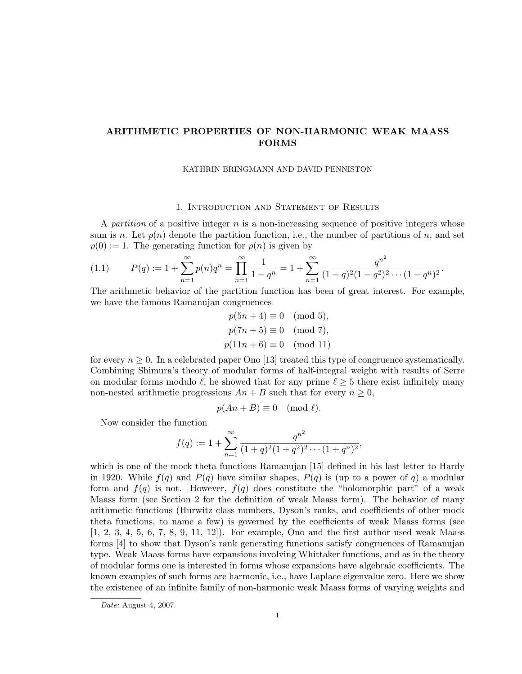# ARITHMETIC PROPERTIES OF NON-HARMONIC WEAK MAASS FORMS

#### KATHRIN BRINGMANN AND DAVID PENNISTON

### 1. Introduction and Statement of Results

A partition of a positive integer  $n$  is a non-increasing sequence of positive integers whose sum is n. Let  $p(n)$  denote the partition function, i.e., the number of partitions of n, and set  $p(0) := 1$ . The generating function for  $p(n)$  is given by

$$
(1.1) \t P(q) := 1 + \sum_{n=1}^{\infty} p(n)q^n = \prod_{n=1}^{\infty} \frac{1}{1 - q^n} = 1 + \sum_{n=1}^{\infty} \frac{q^{n^2}}{(1 - q)^2 (1 - q^2)^2 \cdots (1 - q^n)^2}.
$$

The arithmetic behavior of the partition function has been of great interest. For example, we have the famous Ramanujan congruences

> $p(5n+4) \equiv 0 \pmod{5}$ ,  $p(7n+5) \equiv 0 \pmod{7}$ ,  $p(11n + 6) \equiv 0 \pmod{11}$

for every  $n \geq 0$ . In a celebrated paper Ono [13] treated this type of congruence systematically. Combining Shimura's theory of modular forms of half-integral weight with results of Serre on modular forms modulo  $\ell$ , he showed that for any prime  $\ell \geq 5$  there exist infinitely many non-nested arithmetic progressions  $An + B$  such that for every  $n \geq 0$ ,

$$
p(An + B) \equiv 0 \pmod{\ell}.
$$

Now consider the function

$$
f(q) := 1 + \sum_{n=1}^{\infty} \frac{q^{n^2}}{(1+q)^2(1+q^2)^2 \cdots (1+q^n)^2},
$$

which is one of the mock theta functions Ramanujan [15] defined in his last letter to Hardy in 1920. While  $f(q)$  and  $P(q)$  have similar shapes,  $P(q)$  is (up to a power of q) a modular form and  $f(q)$  is not. However,  $f(q)$  does constitute the "holomorphic part" of a weak Maass form (see Section 2 for the definition of weak Maass form). The behavior of many arithmetic functions (Hurwitz class numbers, Dyson's ranks, and coefficients of other mock theta functions, to name a few) is governed by the coefficients of weak Maass forms (see  $[1, 2, 3, 4, 5, 6, 7, 8, 9, 11, 12]$ . For example, Ono and the first author used weak Maass forms [4] to show that Dyson's rank generating functions satisfy congruences of Ramanujan type. Weak Maass forms have expansions involving Whittaker functions, and as in the theory of modular forms one is interested in forms whose expansions have algebraic coefficients. The known examples of such forms are harmonic, i.e., have Laplace eigenvalue zero. Here we show the existence of an infinite family of non-harmonic weak Maass forms of varying weights and

Date: August 4, 2007.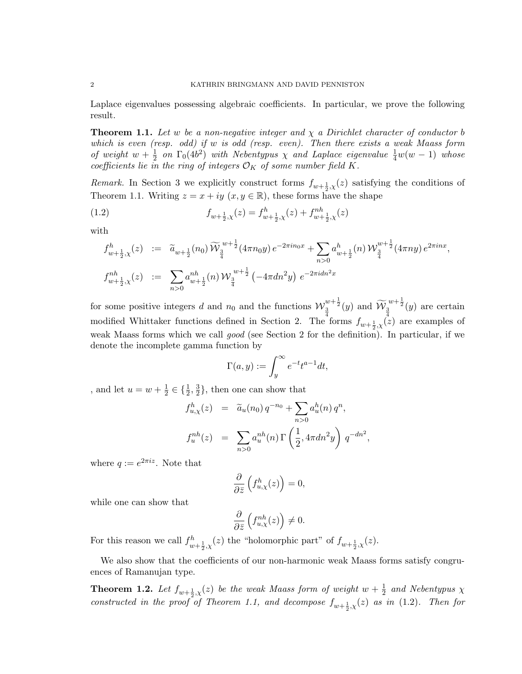Laplace eigenvalues possessing algebraic coefficients. In particular, we prove the following result.

**Theorem 1.1.** Let w be a non-negative integer and  $\chi$  a Dirichlet character of conductor b which is even (resp. odd) if w is odd (resp. even). Then there exists a weak Maass form of weight  $w + \frac{1}{2}$  $\frac{1}{2}$  on  $\Gamma_0(4b^2)$  with Nebentypus  $\chi$  and Laplace eigenvalue  $\frac{1}{4}w(w-1)$  whose coefficients lie in the ring of integers  $\mathcal{O}_K$  of some number field  $K$ .

*Remark*. In Section 3 we explicitly construct forms  $f_{w+\frac{1}{2},\chi}(z)$  satisfying the conditions of Theorem 1.1. Writing  $z = x + iy$   $(x, y \in \mathbb{R})$ , these forms have the shape

(1.2) 
$$
f_{w+\frac{1}{2},\chi}(z) = f_{w+\frac{1}{2},\chi}^h(z) + f_{w+\frac{1}{2},\chi}^{nh}(z)
$$

with

$$
f_{w+\frac{1}{2},\chi}^{h}(z) := \tilde{a}_{w+\frac{1}{2}}(n_0) \widetilde{W}_{\frac{3}{4}}^{w+\frac{1}{2}}(4\pi n_0 y) e^{-2\pi i n_0 x} + \sum_{n>0} a_{w+\frac{1}{2}}^{h}(n) W_{\frac{3}{4}}^{w+\frac{1}{2}}(4\pi n y) e^{2\pi i n x},
$$
  

$$
f_{w+\frac{1}{2},\chi}^{nh}(z) := \sum_{n>0} a_{w+\frac{1}{2}}^{nh}(n) W_{\frac{3}{4}}^{w+\frac{1}{2}}(-4\pi dn^2 y) e^{-2\pi i dn^2 x}
$$

for some positive integers d and  $n_0$  and the functions  $\mathcal{W}_{\frac{3}{4}}^{w+\frac{1}{2}}(y)$  and  $\widetilde{\mathcal{W}}_{\frac{3}{4}}^{w+\frac{1}{2}}(y)$  are certain modified Whittaker functions defined in Section 2. The forms  $f_{w+\frac{1}{2},\chi}(z)$  are examples of weak Maass forms which we call good (see Section 2 for the definition). In particular, if we denote the incomplete gamma function by

$$
\Gamma(a,y) := \int_y^\infty e^{-t} t^{a-1} dt,
$$

, and let  $u = w + \frac{1}{2}$  $\frac{1}{2} \in \{\frac{1}{2}, \frac{3}{2}$  $\frac{3}{2}$ , then one can show that

$$
f_{u,\chi}^h(z) = \tilde{a}_u(n_0) q^{-n_0} + \sum_{n>0} a_u^h(n) q^n,
$$
  

$$
f_u^{nh}(z) = \sum_{n>0} a_u^{nh}(n) \Gamma\left(\frac{1}{2}, 4\pi dn^2 y\right) q^{-dn^2},
$$

where  $q := e^{2\pi i z}$ . Note that

$$
\frac{\partial}{\partial \bar{z}}\left(f_{u,\chi}^h(z)\right) = 0,
$$

while one can show that

$$
\frac{\partial}{\partial \bar{z}}\left(f_{u,\chi}^{nh}(z)\right) \neq 0.
$$

For this reason we call  $f_{w+\frac{1}{2},\chi}^h(z)$  the "holomorphic part" of  $f_{w+\frac{1}{2},\chi}(z)$ .

We also show that the coefficients of our non-harmonic weak Maass forms satisfy congruences of Ramanujan type.

**Theorem 1.2.** Let  $f_{w+\frac{1}{2},\chi}(z)$  be the weak Maass form of weight  $w+\frac{1}{2}$  $\frac{1}{2}$  and Nebentypus  $\chi$ constructed in the proof of Theorem 1.1, and decompose  $f_{w+\frac{1}{2},\chi}(z)$  as in (1.2). Then for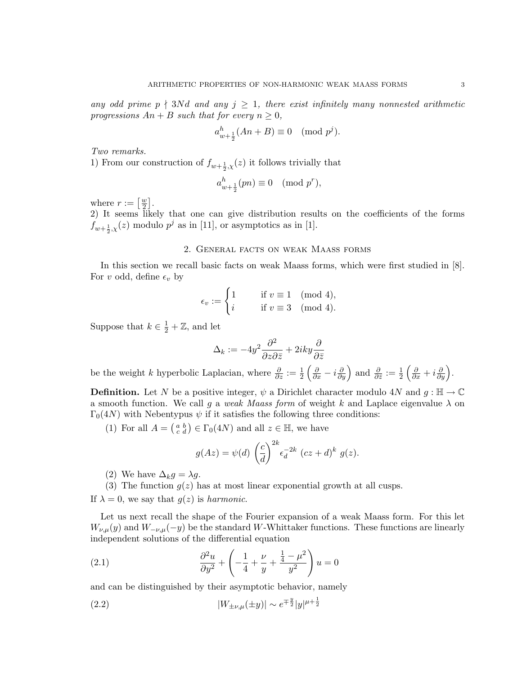any odd prime p  $\{\frac{1}{3}Nd$  and any  $j \geq 1$ , there exist infinitely many nonnested arithmetic progressions  $An + B$  such that for every  $n \geq 0$ ,

$$
a_{w+\frac{1}{2}}^h(An+B) \equiv 0 \pmod{p^j}.
$$

Two remarks.

1) From our construction of  $f_{w+\frac{1}{2},\chi}(z)$  it follows trivially that

$$
a_{w+\frac{1}{2}}^h(pn)\equiv 0\pmod{p^r},
$$

where  $r := \left[\frac{w}{2}\right]$  $\frac{w}{2}$ .

2) It seems likely that one can give distribution results on the coefficients of the forms  $f_{w+\frac{1}{2},\chi}(z)$  modulo  $p^j$  as in [11], or asymptotics as in [1].

### 2. General facts on weak Maass forms

In this section we recall basic facts on weak Maass forms, which were first studied in [8]. For v odd, define  $\epsilon_v$  by

$$
\epsilon_v := \begin{cases} 1 & \text{if } v \equiv 1 \pmod{4}, \\ i & \text{if } v \equiv 3 \pmod{4}. \end{cases}
$$

Suppose that  $k \in \frac{1}{2} + \mathbb{Z}$ , and let

$$
\Delta_k:=-4y^2\frac{\partial^2}{\partial z\partial \bar{z}}+2iky\frac{\partial}{\partial \bar{z}}
$$

be the weight k hyperbolic Laplacian, where  $\frac{\partial}{\partial z} := \frac{1}{2} \left( \frac{\partial}{\partial x} - i \frac{\partial}{\partial y} \right)$  and  $\frac{\partial}{\partial \bar{z}} := \frac{1}{2} \left( \frac{\partial}{\partial x} + i \frac{\partial}{\partial y} \right)$ .

**Definition.** Let N be a positive integer,  $\psi$  a Dirichlet character modulo 4N and  $q : \mathbb{H} \to \mathbb{C}$ a smooth function. We call g a weak Maass form of weight k and Laplace eigenvalue  $\lambda$  on  $\Gamma_0(4N)$  with Nebentypus  $\psi$  if it satisfies the following three conditions:

(1) For all  $A = \begin{pmatrix} a & b \\ c & d \end{pmatrix} \in \Gamma_0(4N)$  and all  $z \in \mathbb{H}$ , we have

$$
g(Az) = \psi(d) \left(\frac{c}{d}\right)^{2k} \epsilon_d^{-2k} (cz+d)^k g(z).
$$

(2) We have  $\Delta_k g = \lambda g$ .

(3) The function  $g(z)$  has at most linear exponential growth at all cusps.

If  $\lambda = 0$ , we say that  $g(z)$  is harmonic.

Let us next recall the shape of the Fourier expansion of a weak Maass form. For this let  $W_{\nu,\mu}(y)$  and  $W_{-\nu,\mu}(-y)$  be the standard W-Whittaker functions. These functions are linearly independent solutions of the differential equation

(2.1) 
$$
\frac{\partial^2 u}{\partial y^2} + \left( -\frac{1}{4} + \frac{\nu}{y} + \frac{\frac{1}{4} - \mu^2}{y^2} \right) u = 0
$$

and can be distinguished by their asymptotic behavior, namely

(2.2) 
$$
|W_{\pm\nu,\mu}(\pm y)| \sim e^{\mp \frac{y}{2}} |y|^{\mu+\frac{1}{2}}
$$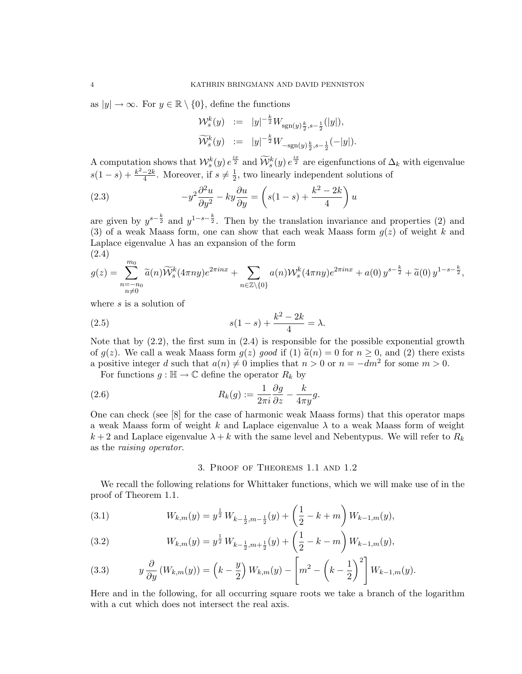as  $|y| \to \infty$ . For  $y \in \mathbb{R} \setminus \{0\}$ , define the functions

$$
\begin{array}{rcl}\n\mathcal{W}^{k}_s(y) & := & |y|^{-\frac{k}{2}} W_{\text{sgn}(y)\frac{k}{2}, s-\frac{1}{2}}(|y|), \\
\widetilde{\mathcal{W}}^{k}_s(y) & := & |y|^{-\frac{k}{2}} W_{-\text{sgn}(y)\frac{k}{2}, s-\frac{1}{2}}(-|y|).\n\end{array}
$$

A computation shows that  $\mathcal{W}_s^k(y) e^{\frac{ix}{2}}$  and  $\widetilde{\mathcal{W}}_s^k(y) e^{\frac{ix}{2}}$  are eigenfunctions of  $\Delta_k$  with eigenvalue  $s(1-s) + \frac{k^2-2k}{4}$  $\frac{-2k}{4}$ . Moreover, if  $s \neq \frac{1}{2}$  $\frac{1}{2}$ , two linearly independent solutions of

(2.3) 
$$
-y^2 \frac{\partial^2 u}{\partial y^2} - ky \frac{\partial u}{\partial y} = \left(s(1-s) + \frac{k^2 - 2k}{4}\right)u
$$

are given by  $y^{s-\frac{k}{2}}$  and  $y^{1-s-\frac{k}{2}}$ . Then by the translation invariance and properties (2) and (3) of a weak Maass form, one can show that each weak Maass form  $g(z)$  of weight k and Laplace eigenvalue  $\lambda$  has an expansion of the form (2.4)

$$
g(z) = \sum_{\substack{n=-n_0 \\ n\neq 0}}^{m_0} \widetilde{a}(n) \widetilde{W}_s^k(4\pi ny) e^{2\pi inx} + \sum_{n \in \mathbb{Z} \setminus \{0\}} a(n) W_s^k(4\pi ny) e^{2\pi inx} + a(0) y^{s-\frac{k}{2}} + \widetilde{a}(0) y^{1-s-\frac{k}{2}},
$$

where s is a solution of

(2.5) 
$$
s(1-s) + \frac{k^2 - 2k}{4} = \lambda.
$$

Note that by  $(2.2)$ , the first sum in  $(2.4)$  is responsible for the possible exponential growth of  $g(z)$ . We call a weak Maass form  $g(z)$  good if (1)  $\tilde{a}(n) = 0$  for  $n \ge 0$ , and (2) there exists a positive integer d such that  $a(n) \neq 0$  implies that  $n > 0$  or  $n = -dm^2$  for some  $m > 0$ .

For functions  $g : \mathbb{H} \to \mathbb{C}$  define the operator  $R_k$  by

(2.6) 
$$
R_k(g) := \frac{1}{2\pi i} \frac{\partial g}{\partial z} - \frac{k}{4\pi y} g.
$$

One can check (see [8] for the case of harmonic weak Maass forms) that this operator maps a weak Maass form of weight k and Laplace eigenvalue  $\lambda$  to a weak Maass form of weight  $k+2$  and Laplace eigenvalue  $\lambda + k$  with the same level and Nebentypus. We will refer to  $R_k$ as the raising operator.

## 3. Proof of Theorems 1.1 and 1.2

We recall the following relations for Whittaker functions, which we will make use of in the proof of Theorem 1.1.

(3.1) 
$$
W_{k,m}(y) = y^{\frac{1}{2}} W_{k-\frac{1}{2},m-\frac{1}{2}}(y) + \left(\frac{1}{2} - k + m\right) W_{k-1,m}(y),
$$

(3.2) 
$$
W_{k,m}(y) = y^{\frac{1}{2}} W_{k-\frac{1}{2},m+\frac{1}{2}}(y) + \left(\frac{1}{2} - k - m\right) W_{k-1,m}(y),
$$

(3.3) 
$$
y \frac{\partial}{\partial y} (W_{k,m}(y)) = \left(k - \frac{y}{2}\right) W_{k,m}(y) - \left[m^2 - \left(k - \frac{1}{2}\right)^2\right] W_{k-1,m}(y).
$$

Here and in the following, for all occurring square roots we take a branch of the logarithm with a cut which does not intersect the real axis.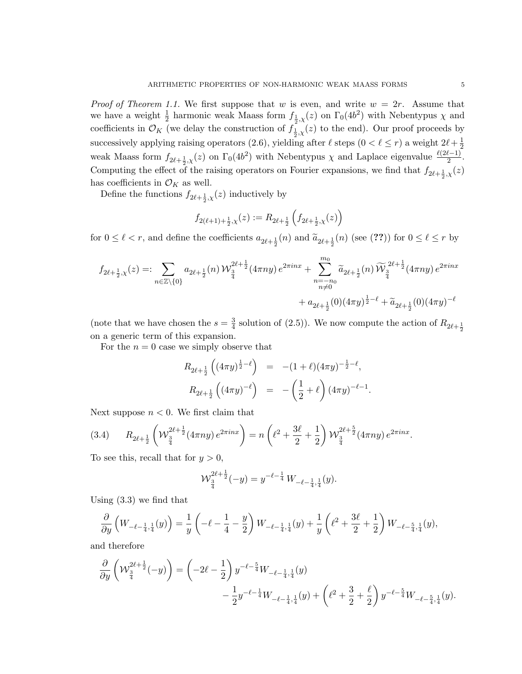*Proof of Theorem 1.1.* We first suppose that w is even, and write  $w = 2r$ . Assume that we have a weight  $\frac{1}{2}$  harmonic weak Maass form  $f_{\frac{1}{2},\chi}(z)$  on  $\Gamma_0(4b^2)$  with Nebentypus  $\chi$  and coefficients in  $\mathcal{O}_K$  (we delay the construction of  $f_{\frac{1}{2},x}(z)$  to the end). Our proof proceeds by successively applying raising operators (2.6), yielding after  $\ell$  steps  $(0 < \ell \le r)$  a weight  $2\ell + \frac{1}{2}$  $\overline{2}$ weak Maass form  $f_{2\ell + \frac{1}{2},\chi}(z)$  on  $\Gamma_0(4b^2)$  with Nebentypus  $\chi$  and Laplace eigenvalue  $\frac{\ell(2\ell-1)}{2}$ . Computing the effect of the raising operators on Fourier expansions, we find that  $f_{2\ell + \frac{1}{2},\chi}(z)$ has coefficients in  $\mathcal{O}_K$  as well.

Define the functions  $f_{2\ell + \frac{1}{2},\chi}(z)$  inductively by

$$
f_{2(\ell+1)+\frac{1}{2},\chi}(z) := R_{2\ell+\frac{1}{2}}\left(f_{2\ell+\frac{1}{2},\chi}(z)\right)
$$

for  $0 \leq \ell < r$ , and define the coefficients  $a_{2\ell + \frac{1}{2}}(n)$  and  $\widetilde{a}_{2\ell + \frac{1}{2}}(n)$  (see (??)) for  $0 \leq \ell \leq r$  by

$$
\begin{aligned} f_{2\ell+\frac{1}{2},\chi}(z)=&\sum_{n\in\mathbb{Z}\backslash\{0\}}a_{2\ell+\frac{1}{2}}(n)\,\mathcal{W}_{\frac{3}{4}}^{2\ell+\frac{1}{2}}(4\pi ny)\,e^{2\pi i n x}+\sum_{\substack{n=-n_0\\n\neq 0}}^{m_0}\widetilde{a}_{2\ell+\frac{1}{2}}(n)\,\widetilde{\mathcal{W}}_{\frac{3}{4}}^{2\ell+\frac{1}{2}}(4\pi ny)\,e^{2\pi i n x}\\&+a_{2\ell+\frac{1}{2}}(0)(4\pi y)^{\frac{1}{2}-\ell}+\widetilde{a}_{2\ell+\frac{1}{2}}(0)(4\pi y)^{-\ell} \end{aligned}
$$

(note that we have chosen the  $s=\frac{3}{4}$ )  $\frac{3}{4}$  solution of (2.5)). We now compute the action of  $R_{2\ell+\frac{1}{2}}$ on a generic term of this expansion.

For the  $n = 0$  case we simply observe that

$$
R_{2\ell + \frac{1}{2}}\left((4\pi y)^{\frac{1}{2}-\ell}\right) = -(1+\ell)(4\pi y)^{-\frac{1}{2}-\ell},
$$
  

$$
R_{2\ell + \frac{1}{2}}\left((4\pi y)^{-\ell}\right) = -\left(\frac{1}{2}+\ell\right)(4\pi y)^{-\ell-1}.
$$

Next suppose  $n < 0$ . We first claim that

(3.4) 
$$
R_{2\ell+\frac{1}{2}}\left(\mathcal{W}_{\frac{3}{4}}^{2\ell+\frac{1}{2}}(4\pi ny)e^{2\pi inx}\right)=n\left(\ell^2+\frac{3\ell}{2}+\frac{1}{2}\right)\mathcal{W}_{\frac{3}{4}}^{2\ell+\frac{5}{2}}(4\pi ny)e^{2\pi inx}.
$$

To see this, recall that for  $y > 0$ ,

$$
\mathcal{W}_{\frac{3}{4}}^{2\ell+\frac{1}{2}}(-y) = y^{-\ell-\frac{1}{4}} W_{-\ell-\frac{1}{4},\frac{1}{4}}(y).
$$

Using (3.3) we find that

$$
\frac{\partial}{\partial y}\left(W_{-\ell-\frac{1}{4},\frac{1}{4}}(y)\right) = \frac{1}{y}\left(-\ell-\frac{1}{4}-\frac{y}{2}\right)W_{-\ell-\frac{1}{4},\frac{1}{4}}(y) + \frac{1}{y}\left(\ell^2+\frac{3\ell}{2}+\frac{1}{2}\right)W_{-\ell-\frac{5}{4},\frac{1}{4}}(y),
$$

and therefore

$$
\begin{split} \frac{\partial}{\partial y}\left(\mathcal{W}_{\frac{3}{4}}^{2\ell+\frac{1}{2}}(-y)\right)=&\left(-2\ell-\frac{1}{2}\right)y^{-\ell-\frac{5}{4}}W_{-\ell-\frac{1}{4},\frac{1}{4}}(y)\\ &-\frac{1}{2}y^{-\ell-\frac{1}{4}}W_{-\ell-\frac{1}{4},\frac{1}{4}}(y)+\left(\ell^2+\frac{3}{2}+\frac{\ell}{2}\right)y^{-\ell-\frac{5}{4}}W_{-\ell-\frac{5}{4},\frac{1}{4}}(y). \end{split}
$$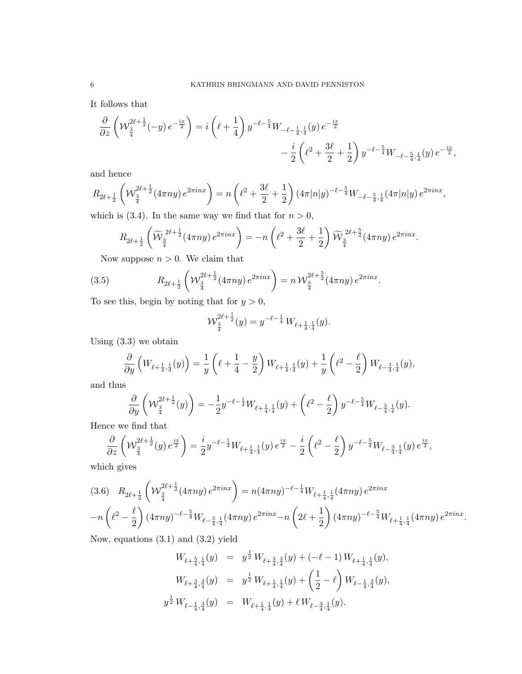It follows that

$$
\begin{split} \frac{\partial}{\partial z} \left( \mathcal{W}_{\frac{3}{4}}^{2 \ell + \frac{1}{2}}(-y) \, e^{-\frac{iz}{2}} \right) & = i \left( \ell + \frac{1}{4} \right) y^{-\ell - \frac{5}{4}} W_{-\ell - \frac{1}{4}, \frac{1}{4}}(y) \, e^{-\frac{ix}{2}} \\ & \qquad \qquad - \frac{i}{2} \left( \ell^2 + \frac{3 \ell}{2} + \frac{1}{2} \right) y^{-\ell - \frac{5}{4}} W_{-\ell - \frac{5}{4}, \frac{1}{4}}(y) \, e^{-\frac{ix}{2}}, \end{split}
$$

and hence

$$
R_{2\ell+\frac{1}{2}}\left(\mathcal{W}_{\frac{3}{4}}^{2\ell+\frac{1}{2}}(4\pi ny)e^{2\pi inx}\right)=n\left(\ell^2+\frac{3\ell}{2}+\frac{1}{2}\right)(4\pi |n|y)^{-\ell-\frac{5}{4}}W_{-\ell-\frac{5}{4},\frac{1}{4}}(4\pi |n|y)e^{2\pi inx},
$$

which is (3.4). In the same way we find that for  $n > 0$ ,

$$
R_{2\ell+\frac{1}{2}}\left(\widetilde{\mathcal{W}}_{\frac{3}{4}}^{2\ell+\frac{1}{2}}(4\pi ny)\,e^{2\pi i n x}\right) = -n\left(\ell^2+\frac{3\ell}{2}+\frac{1}{2}\right)\widetilde{\mathcal{W}}_{\frac{3}{4}}^{2\ell+\frac{5}{2}}(4\pi ny)\,e^{2\pi i n x}.
$$

Now suppose  $n > 0$ . We claim that

(3.5) 
$$
R_{2\ell+\frac{1}{2}}\left(\mathcal{W}_{\frac{3}{4}}^{2\ell+\frac{1}{2}}(4\pi ny)e^{2\pi inx}\right)=n\mathcal{W}_{\frac{3}{4}}^{2\ell+\frac{5}{2}}(4\pi ny)e^{2\pi inx}.
$$

To see this, begin by noting that for  $y > 0$ ,

$$
\mathcal{W}_{\frac{3}{4}}^{2\ell+\frac{1}{2}}(y) = y^{-\ell-\frac{1}{4}} W_{\ell+\frac{1}{4},\frac{1}{4}}(y).
$$

Using (3.3) we obtain

$$
\frac{\partial}{\partial y}\left(W_{\ell+\frac{1}{4},\frac{1}{4}}(y)\right) = \frac{1}{y}\left(\ell+\frac{1}{4}-\frac{y}{2}\right)W_{\ell+\frac{1}{4},\frac{1}{4}}(y) + \frac{1}{y}\left(\ell^2-\frac{\ell}{2}\right)W_{\ell-\frac{3}{4},\frac{1}{4}}(y),
$$

and thus

$$
\frac{\partial}{\partial y} \left( \mathcal{W}_{\frac{3}{4}}^{2\ell + \frac{1}{2}}(y) \right) = -\frac{1}{2} y^{-\ell - \frac{1}{4}} W_{\ell + \frac{1}{4}, \frac{1}{4}}(y) + \left( \ell^2 - \frac{\ell}{2} \right) y^{-\ell - \frac{5}{4}} W_{\ell - \frac{3}{4}, \frac{1}{4}}(y).
$$

Hence we find that

$$
\frac{\partial}{\partial z} \left( \mathcal{W}_{\frac{3}{4}}^{2\ell + \frac{1}{2}}(y) e^{\frac{ix}{2}} \right) = \frac{i}{2} y^{-\ell - \frac{1}{4}} W_{\ell + \frac{1}{4},\frac{1}{4}}(y) e^{\frac{ix}{2}} - \frac{i}{2} \left( \ell^2 - \frac{\ell}{2} \right) y^{-\ell - \frac{5}{4}} W_{\ell - \frac{3}{4},\frac{1}{4}}(y) e^{\frac{ix}{2}},
$$

which gives

$$
(3.6) \quad R_{2\ell+\frac{1}{2}}\left(W_{\frac{3}{4}}^{2\ell+\frac{1}{2}}(4\pi ny)e^{2\pi inx}\right) = n(4\pi ny)^{-\ell-\frac{1}{4}}W_{\ell+\frac{1}{4},\frac{1}{4}}(4\pi ny)e^{2\pi inx}
$$

$$
-n\left(\ell^2-\frac{\ell}{2}\right)(4\pi ny)^{-\ell-\frac{5}{4}}W_{\ell-\frac{3}{4},\frac{1}{4}}(4\pi ny)e^{2\pi inx} - n\left(2\ell+\frac{1}{2}\right)(4\pi ny)^{-\ell-\frac{5}{4}}W_{\ell+\frac{1}{4},\frac{1}{4}}(4\pi ny)e^{2\pi inx}.
$$

Now, equations (3.1) and (3.2) yield

$$
W_{\ell+\frac{5}{4},\frac{1}{4}}(y) = y^{\frac{1}{2}} W_{\ell+\frac{3}{4},\frac{3}{4}}(y) + (-\ell-1) W_{\ell+\frac{1}{4},\frac{1}{4}}(y),
$$
  

$$
W_{\ell+\frac{3}{4},\frac{3}{4}}(y) = y^{\frac{1}{2}} W_{\ell+\frac{1}{4},\frac{1}{4}}(y) + \left(\frac{1}{2} - \ell\right) W_{\ell-\frac{1}{4},\frac{3}{4}}(y),
$$
  

$$
y^{\frac{1}{2}} W_{\ell-\frac{1}{4},\frac{3}{4}}(y) = W_{\ell+\frac{1}{4},\frac{1}{4}}(y) + \ell W_{\ell-\frac{3}{4},\frac{1}{4}}(y).
$$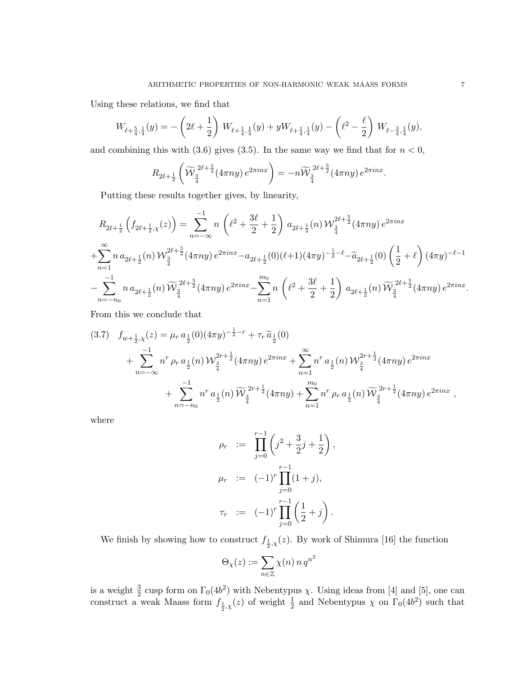Using these relations, we find that

$$
W_{\ell+\frac{5}{4},\frac{1}{4}}(y) = -\left(2\ell+\frac{1}{2}\right) W_{\ell+\frac{1}{4},\frac{1}{4}}(y) + yW_{\ell+\frac{1}{4},\frac{1}{4}}(y) - \left(\ell^2-\frac{\ell}{2}\right) W_{\ell-\frac{3}{4},\frac{1}{4}}(y),
$$

and combining this with  $(3.6)$  gives  $(3.5)$ . In the same way we find that for  $n < 0$ ,

$$
R_{2\ell+\frac{1}{2}}\left(\widetilde{\mathcal{W}}_{\frac{3}{4}}^{2\ell+\frac{1}{2}}(4\pi ny)\,e^{2\pi inx}\right)=-n\widetilde{\mathcal{W}}_{\frac{3}{4}}^{2\ell+\frac{5}{2}}(4\pi ny)\,e^{2\pi inx}.
$$

Putting these results together gives, by linearity,

$$
R_{2\ell+\frac{1}{2}}\left(f_{2\ell+\frac{1}{2},\chi}(z)\right) = \sum_{n=-\infty}^{-1} n \left(\ell^2 + \frac{3\ell}{2} + \frac{1}{2}\right) a_{2\ell+\frac{1}{2}}(n) \mathcal{W}_{\frac{3}{4}}^{2\ell+\frac{5}{2}}(4\pi ny) e^{2\pi inx}
$$
  
+ 
$$
\sum_{n=1}^{\infty} n a_{2\ell+\frac{1}{2}}(n) \mathcal{W}_{\frac{3}{4}}^{2\ell+\frac{5}{2}}(4\pi ny) e^{2\pi inx} - a_{2\ell+\frac{1}{2}}(0)(\ell+1)(4\pi y)^{-\frac{1}{2}-\ell} - \widetilde{a}_{2\ell+\frac{1}{2}}(0) \left(\frac{1}{2}+\ell\right) (4\pi y)^{-\ell-1}
$$
  
- 
$$
\sum_{n=-n_0}^{-1} n a_{2\ell+\frac{1}{2}}(n) \widetilde{W}_{\frac{3}{4}}^{2\ell+\frac{5}{2}}(4\pi ny) e^{2\pi inx} - \sum_{n=1}^{m_0} n \left(\ell^2 + \frac{3\ell}{2} + \frac{1}{2}\right) a_{2\ell+\frac{1}{2}}(n) \widetilde{W}_{\frac{3}{4}}^{2\ell+\frac{5}{2}}(4\pi ny) e^{2\pi inx}.
$$

From this we conclude that

$$
(3.7) \quad f_{w+\frac{1}{2},\chi}(z) = \mu_r a_{\frac{1}{2}}(0)(4\pi y)^{-\frac{1}{2}-r} + \tau_r \tilde{a}_{\frac{1}{2}}(0) + \sum_{n=-\infty}^{-1} n^r \rho_r a_{\frac{1}{2}}(n) \mathcal{W}_{\frac{3}{4}}^{2r+\frac{1}{2}}(4\pi ny) e^{2\pi inx} + \sum_{n=1}^{\infty} n^r a_{\frac{1}{2}}(n) \mathcal{W}_{\frac{3}{4}}^{2r+\frac{1}{2}}(4\pi ny) e^{2\pi inx} + \sum_{n=-n_0}^{-1} n^r a_{\frac{1}{2}}(n) \widetilde{\mathcal{W}}_{\frac{3}{4}}^{2r+\frac{1}{2}}(4\pi ny) + \sum_{n=1}^{m_0} n^r \rho_r a_{\frac{1}{2}}(n) \widetilde{\mathcal{W}}_{\frac{3}{4}}^{2r+\frac{1}{2}}(4\pi ny) e^{2\pi inx} ,
$$

where

$$
\rho_r := \prod_{j=0}^{r-1} \left( j^2 + \frac{3}{2} j + \frac{1}{2} \right),
$$
  

$$
\mu_r := (-1)^r \prod_{j=0}^{r-1} (1+j),
$$
  

$$
\tau_r := (-1)^r \prod_{j=0}^{r-1} \left( \frac{1}{2} + j \right).
$$

We finish by showing how to construct  $f_{\frac{1}{2},\chi}(z)$ . By work of Shimura [16] the function

$$
\Theta_{\chi}(z):=\sum_{n\in\mathbb{Z}}\chi(n)\,n\,q^{n^2}
$$

is a weight  $\frac{3}{2}$  cusp form on  $\Gamma_0(4b^2)$  with Nebentypus  $\chi$ . Using ideas from [4] and [5], one can construct a weak Maass form  $f_{\frac{1}{2},\chi}(z)$  of weight  $\frac{1}{2}$  and Nebentypus  $\chi$  on  $\Gamma_0(4b^2)$  such that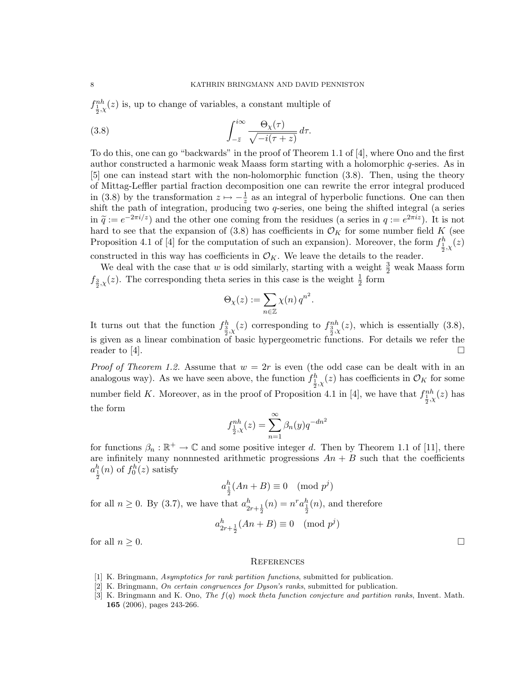$f_{\frac{1}{2},\chi}^{nh}(z)$  is, up to change of variables, a constant multiple of

(3.8) 
$$
\int_{-\bar{z}}^{i\infty} \frac{\Theta_{\chi}(\tau)}{\sqrt{-i(\tau+z)}} d\tau.
$$

To do this, one can go "backwards" in the proof of Theorem 1.1 of [4], where Ono and the first author constructed a harmonic weak Maass form starting with a holomorphic q-series. As in [5] one can instead start with the non-holomorphic function (3.8). Then, using the theory of Mittag-Leffler partial fraction decomposition one can rewrite the error integral produced in (3.8) by the transformation  $z \mapsto -\frac{1}{z}$  as an integral of hyperbolic functions. One can then shift the path of integration, producing two q-series, one being the shifted integral (a series in  $\tilde{q} := e^{-2\pi i/z}$  and the other one coming from the residues (a series in  $q := e^{2\pi i z}$ ). It is not<br>hard to see that the expansion of (3.8) has coefficients in  $\mathcal{O}_{\mathcal{U}}$  for some number field K (see hard to see that the expansion of (3.8) has coefficients in  $\mathcal{O}_K$  for some number field K (see Proposition 4.1 of [4] for the computation of such an expansion). Moreover, the form  $f_{\frac{1}{2},\chi}^h(z)$ 2 constructed in this way has coefficients in  $\mathcal{O}_K$ . We leave the details to the reader.

We deal with the case that  $w$  is odd similarly, starting with a weight  $\frac{3}{2}$  weak Maass form  $f_{\frac{3}{2},\chi}(z)$ . The corresponding theta series in this case is the weight  $\frac{1}{2}$  form

$$
\Theta_{\chi}(z) := \sum_{n \in \mathbb{Z}} \chi(n) q^{n^2}.
$$

It turns out that the function  $f_{\frac{3}{2},\chi}^{h}(z)$  corresponding to  $f_{\frac{3}{2},\chi}^{nh}(z)$ , which is essentially (3.8), is given as a linear combination of basic hypergeometric functions. For details we refer the reader to [4].

*Proof of Theorem 1.2.* Assume that  $w = 2r$  is even (the odd case can be dealt with in an analogous way). As we have seen above, the function  $f_{\frac{1}{2},\chi}^h(z)$  has coefficients in  $\mathcal{O}_K$  for some number field K. Moreover, as in the proof of Proposition 4.1 in [4], we have that  $f_{\frac{1}{2},\chi}^{nh}(z)$  has the form

$$
f_{\frac{1}{2},\chi}^{nh}(z) = \sum_{n=1}^{\infty} \beta_n(y) q^{-dn^2}
$$

for functions  $\beta_n : \mathbb{R}^+ \to \mathbb{C}$  and some positive integer d. Then by Theorem 1.1 of [11], there are infinitely many nonnnested arithmetic progressions  $An + B$  such that the coefficients  $a_{\frac{1}{2}}^{h}(n)$  of  $f_{0}^{h}(z)$  satisfy

$$
a_{\frac{1}{2}}^h(An+B) \equiv 0 \pmod{p^j}
$$

for all  $n \ge 0$ . By (3.7), we have that  $a_{2r+\frac{1}{2}}^h(n) = n^r a_{\frac{1}{2}}^h(n)$ , and therefore

$$
a_{2r+\frac{1}{2}}^h(An+B) \equiv 0 \pmod{p^j}
$$

for all  $n \geq 0$ .

2

#### **REFERENCES**

- [1] K. Bringmann, Asymptotics for rank partition functions, submitted for publication.
- [2] K. Bringmann, On certain congruences for Dyson's ranks, submitted for publication.
- [3] K. Bringmann and K. Ono, The  $f(q)$  mock theta function conjecture and partition ranks, Invent. Math. 165 (2006), pages 243-266.